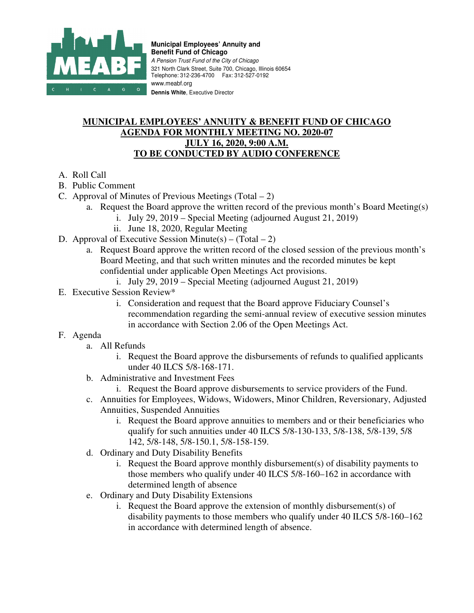

**Municipal Employees' Annuity and Benefit Fund of Chicago**  A Pension Trust Fund of the City of Chicago 321 North Clark Street, Suite 700, Chicago, Illinois 60654 Telephone: 312-236-4700 Fax: 312-527-0192 www.meabf.org **Dennis White**, Executive Director

## **MUNICIPAL EMPLOYEES' ANNUITY & BENEFIT FUND OF CHICAGO AGENDA FOR MONTHLY MEETING NO. 2020-07 JULY 16, 2020, 9:00 A.M. TO BE CONDUCTED BY AUDIO CONFERENCE**

- A. Roll Call
- B. Public Comment
- C. Approval of Minutes of Previous Meetings (Total  $-2$ )
	- a. Request the Board approve the written record of the previous month's Board Meeting(s)
		- i. July 29, 2019 Special Meeting (adjourned August 21, 2019)
		- ii. June 18, 2020, Regular Meeting
- D. Approval of Executive Session Minute(s) (Total 2)
	- a. Request Board approve the written record of the closed session of the previous month's Board Meeting, and that such written minutes and the recorded minutes be kept confidential under applicable Open Meetings Act provisions.
		- i. July 29, 2019 Special Meeting (adjourned August 21, 2019)
- E. Executive Session Review\*
	- i. Consideration and request that the Board approve Fiduciary Counsel's recommendation regarding the semi-annual review of executive session minutes in accordance with Section 2.06 of the Open Meetings Act.
- F. Agenda
	- a. All Refunds
		- i. Request the Board approve the disbursements of refunds to qualified applicants under 40 ILCS 5/8-168-171.
	- b. Administrative and Investment Fees
		- i. Request the Board approve disbursements to service providers of the Fund.
	- c. Annuities for Employees, Widows, Widowers, Minor Children, Reversionary, Adjusted Annuities, Suspended Annuities
		- i. Request the Board approve annuities to members and or their beneficiaries who qualify for such annuities under 40 ILCS 5/8-130-133, 5/8-138, 5/8-139, 5/8 142, 5/8-148, 5/8-150.1, 5/8-158-159.
	- d. Ordinary and Duty Disability Benefits
		- i. Request the Board approve monthly disbursement(s) of disability payments to those members who qualify under 40 ILCS 5/8-160–162 in accordance with determined length of absence
	- e. Ordinary and Duty Disability Extensions
		- i. Request the Board approve the extension of monthly disbursement(s) of disability payments to those members who qualify under 40 ILCS 5/8-160–162 in accordance with determined length of absence.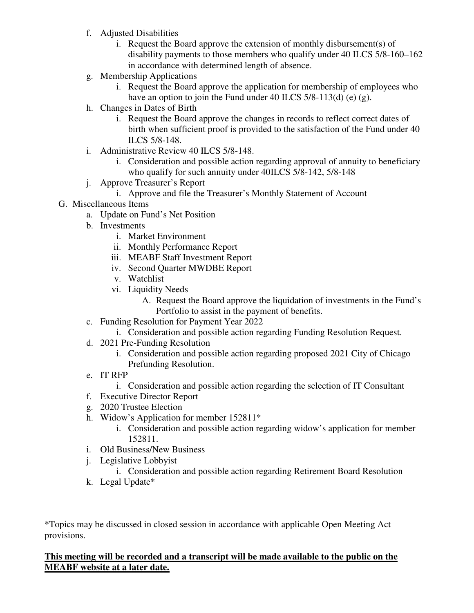- f. Adjusted Disabilities
	- i. Request the Board approve the extension of monthly disbursement(s) of disability payments to those members who qualify under 40 ILCS 5/8-160–162 in accordance with determined length of absence.
- g. Membership Applications
	- i. Request the Board approve the application for membership of employees who have an option to join the Fund under 40 ILCS 5/8-113(d) (e) (g).
- h. Changes in Dates of Birth
	- i. Request the Board approve the changes in records to reflect correct dates of birth when sufficient proof is provided to the satisfaction of the Fund under 40 ILCS 5/8-148.
- i. Administrative Review 40 ILCS 5/8-148.
	- i. Consideration and possible action regarding approval of annuity to beneficiary who qualify for such annuity under 40ILCS 5/8-142, 5/8-148
- j. Approve Treasurer's Report
	- i. Approve and file the Treasurer's Monthly Statement of Account
- G. Miscellaneous Items
	- a. Update on Fund's Net Position
	- b. Investments
		- i. Market Environment
		- ii. Monthly Performance Report
		- iii. MEABF Staff Investment Report
		- iv. Second Quarter MWDBE Report
		- v. Watchlist
		- vi. Liquidity Needs
			- A. Request the Board approve the liquidation of investments in the Fund's Portfolio to assist in the payment of benefits.
	- c. Funding Resolution for Payment Year 2022
		- i. Consideration and possible action regarding Funding Resolution Request.
	- d. 2021 Pre-Funding Resolution
		- i. Consideration and possible action regarding proposed 2021 City of Chicago Prefunding Resolution.
	- e. IT RFP
		- i. Consideration and possible action regarding the selection of IT Consultant
	- f. Executive Director Report
	- g. 2020 Trustee Election
	- h. Widow's Application for member 152811\*
		- i. Consideration and possible action regarding widow's application for member 152811.
	- i. Old Business/New Business
	- j. Legislative Lobbyist
		- i. Consideration and possible action regarding Retirement Board Resolution
	- k. Legal Update\*

\*Topics may be discussed in closed session in accordance with applicable Open Meeting Act provisions.

## **This meeting will be recorded and a transcript will be made available to the public on the MEABF website at a later date.**